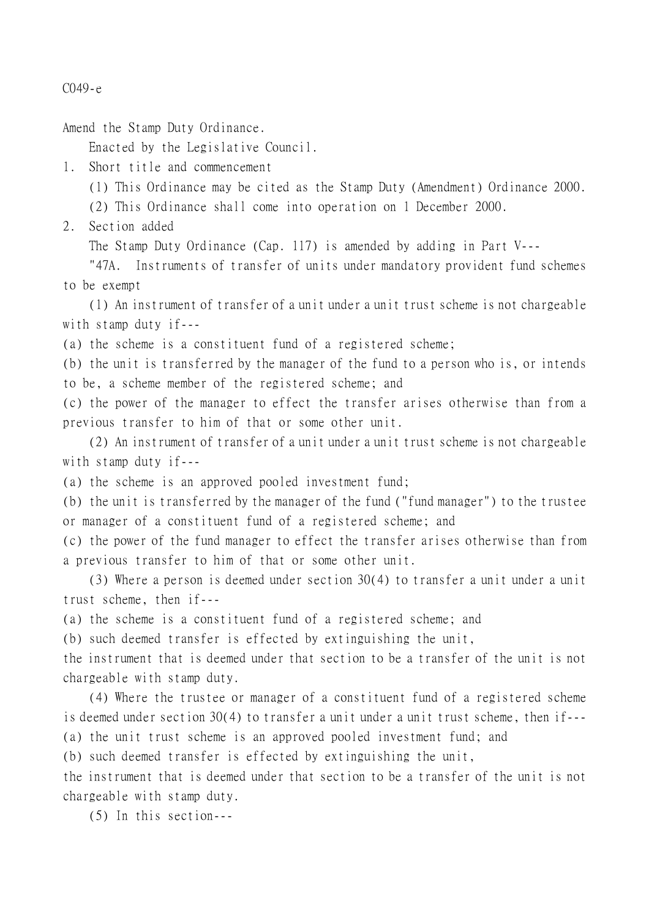C049-e

Amend the Stamp Duty Ordinance.

Enacted by the Legislative Council.

1. Short title and commencement

(1) This Ordinance may be cited as the Stamp Duty (Amendment) Ordinance 2000.

(2) This Ordinance shall come into operation on 1 December 2000.

2. Section added

The Stamp Duty Ordinance (Cap. 117) is amended by adding in Part V---

"47A. Instruments of transfer of units under mandatory provident fund schemes to be exempt

(1) An instrument of transfer of a unit under a unit trust scheme is not chargeable with stamp duty if---

(a) the scheme is a constituent fund of a registered scheme;

(b) the unit is transferred by the manager of the fund to a person who is, or intends to be, a scheme member of the registered scheme; and

(c) the power of the manager to effect the transfer arises otherwise than from a previous transfer to him of that or some other unit.

(2) An instrument of transfer of a unit under a unit trust scheme is not chargeable with stamp duty if---

(a) the scheme is an approved pooled investment fund;

(b) the unit is transferred by the manager of the fund ("fund manager") to the trustee or manager of a constituent fund of a registered scheme; and

(c) the power of the fund manager to effect the transfer arises otherwise than from a previous transfer to him of that or some other unit.

(3) Where a person is deemed under section 30(4) to transfer a unit under a unit trust scheme, then if---

(a) the scheme is a constituent fund of a registered scheme; and

(b) such deemed transfer is effected by extinguishing the unit,

the instrument that is deemed under that section to be a transfer of the unit is not chargeable with stamp duty.

(4) Where the trustee or manager of a constituent fund of a registered scheme is deemed under section 30(4) to transfer a unit under a unit trust scheme, then if--- (a) the unit trust scheme is an approved pooled investment fund; and

(b) such deemed transfer is effected by extinguishing the unit,

the instrument that is deemed under that section to be a transfer of the unit is not chargeable with stamp duty.

(5) In this section---